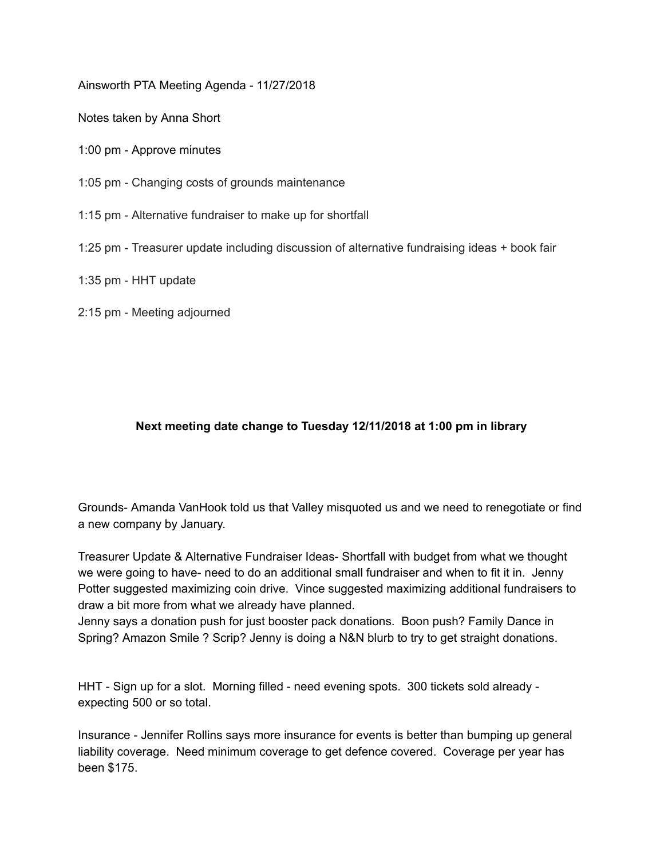Ainsworth PTA Meeting Agenda - 11/27/2018

Notes taken by Anna Short

- 1:00 pm Approve minutes
- 1:05 pm Changing costs of grounds maintenance
- 1:15 pm Alternative fundraiser to make up for shortfall
- 1:25 pm Treasurer update including discussion of alternative fundraising ideas + book fair
- 1:35 pm HHT update
- 2:15 pm Meeting adjourned

## **Next meeting date change to Tuesday 12/11/2018 at 1:00 pm in library**

Grounds- Amanda VanHook told us that Valley misquoted us and we need to renegotiate or find a new company by January.

Treasurer Update & Alternative Fundraiser Ideas- Shortfall with budget from what we thought we were going to have- need to do an additional small fundraiser and when to fit it in. Jenny Potter suggested maximizing coin drive. Vince suggested maximizing additional fundraisers to draw a bit more from what we already have planned.

Jenny says a donation push for just booster pack donations. Boon push? Family Dance in Spring? Amazon Smile ? Scrip? Jenny is doing a N&N blurb to try to get straight donations.

HHT - Sign up for a slot. Morning filled - need evening spots. 300 tickets sold already expecting 500 or so total.

Insurance - Jennifer Rollins says more insurance for events is better than bumping up general liability coverage. Need minimum coverage to get defence covered. Coverage per year has been \$175.